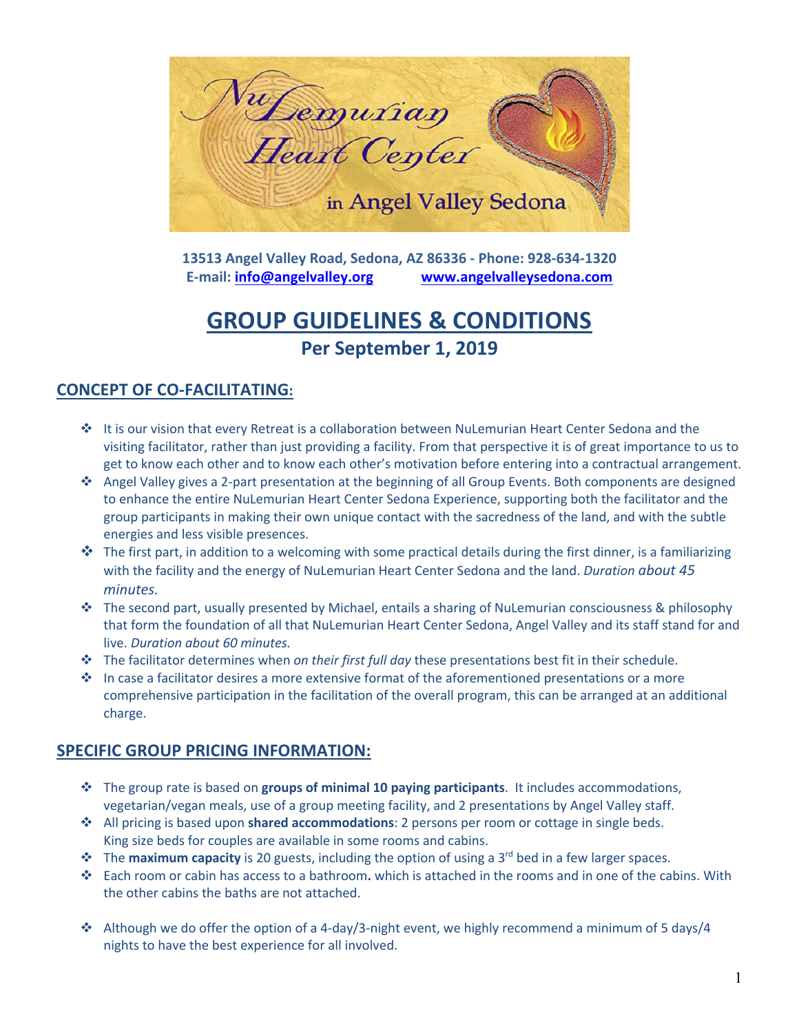

**13513 Angel Valley Road, Sedona, AZ 86336 - Phone: 928-634-1320 E-mail: info@angelvalley.org www.angelvalleysedona.com**

# **GROUP GUIDELINES & CONDITIONS Per September 1, 2019**

# **CONCEPT OF CO-FACILITATING:**

- v It is our vision that every Retreat is a collaboration between NuLemurian Heart Center Sedona and the visiting facilitator, rather than just providing a facility. From that perspective it is of great importance to us to get to know each other and to know each other's motivation before entering into a contractual arrangement.
- v Angel Valley gives a 2-part presentation at the beginning of all Group Events. Both components are designed to enhance the entire NuLemurian Heart Center Sedona Experience, supporting both the facilitator and the group participants in making their own unique contact with the sacredness of the land, and with the subtle energies and less visible presences.
- $\cdot$  The first part, in addition to a welcoming with some practical details during the first dinner, is a familiarizing with the facility and the energy of NuLemurian Heart Center Sedona and the land. *Duration about 45 minutes.*
- v The second part, usually presented by Michael, entails a sharing of NuLemurian consciousness & philosophy that form the foundation of all that NuLemurian Heart Center Sedona, Angel Valley and its staff stand for and live. *Duration about 60 minutes.*
- v The facilitator determines when *on their first full day* these presentations best fit in their schedule.
- $\cdot \cdot$  In case a facilitator desires a more extensive format of the aforementioned presentations or a more comprehensive participation in the facilitation of the overall program, this can be arranged at an additional charge.

# **SPECIFIC GROUP PRICING INFORMATION:**

- v The group rate is based on **groups of minimal 10 paying participants**. It includes accommodations, vegetarian/vegan meals, use of a group meeting facility, and 2 presentations by Angel Valley staff.
- v All pricing is based upon **shared accommodations**: 2 persons per room or cottage in single beds. King size beds for couples are available in some rooms and cabins.
- **❖** The **maximum capacity** is 20 guests, including the option of using a 3<sup>rd</sup> bed in a few larger spaces.
- v Each room or cabin has access to a bathroom**.** which is attached in the rooms and in one of the cabins. With the other cabins the baths are not attached.
- \* Although we do offer the option of a 4-day/3-night event, we highly recommend a minimum of 5 days/4 nights to have the best experience for all involved.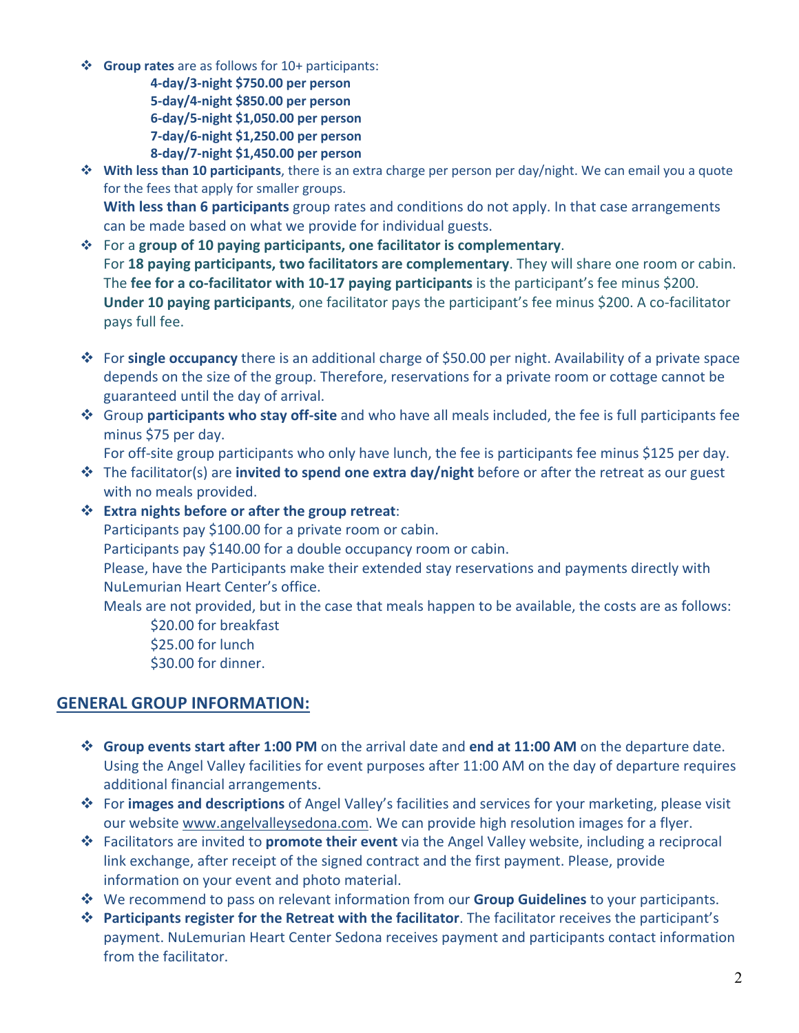v **Group rates** are as follows for 10+ participants:

**4-day/3-night \$750.00 per person 5-day/4-night \$850.00 per person 6-day/5-night \$1,050.00 per person 7-day/6-night \$1,250.00 per person 8-day/7-night \$1,450.00 per person**

- **<sup>❖</sup> With less than 10 participants**, there is an extra charge per person per day/night. We can email you a quote for the fees that apply for smaller groups. **With less than 6 participants** group rates and conditions do not apply. In that case arrangements can be made based on what we provide for individual guests.
- v For a **group of 10 paying participants, one facilitator is complementary**. For **18 paying participants, two facilitators are complementary**. They will share one room or cabin. The **fee for a co-facilitator with 10-17 paying participants** is the participant's fee minus \$200. **Under 10 paying participants**, one facilitator pays the participant's fee minus \$200. A co-facilitator pays full fee.
- v For **single occupancy** there is an additional charge of \$50.00 per night. Availability of a private space depends on the size of the group. Therefore, reservations for a private room or cottage cannot be guaranteed until the day of arrival.
- v Group **participants who stay off-site** and who have all meals included, the fee is full participants fee minus \$75 per day.

For off-site group participants who only have lunch, the fee is participants fee minus \$125 per day.

v The facilitator(s) are **invited to spend one extra day/night** before or after the retreat as our guest with no meals provided.

## v **Extra nights before or after the group retreat**:

Participants pay \$100.00 for a private room or cabin.

Participants pay \$140.00 for a double occupancy room or cabin.

Please, have the Participants make their extended stay reservations and payments directly with NuLemurian Heart Center's office.

Meals are not provided, but in the case that meals happen to be available, the costs are as follows:

\$20.00 for breakfast \$25.00 for lunch \$30.00 for dinner.

# **GENERAL GROUP INFORMATION:**

- v **Group events start after 1:00 PM** on the arrival date and **end at 11:00 AM** on the departure date. Using the Angel Valley facilities for event purposes after 11:00 AM on the day of departure requires additional financial arrangements.
- v For **images and descriptions** of Angel Valley's facilities and services for your marketing, please visit our website www.angelvalleysedona.com. We can provide high resolution images for a flyer.
- v Facilitators are invited to **promote their event** via the Angel Valley website, including a reciprocal link exchange, after receipt of the signed contract and the first payment. Please, provide information on your event and photo material.
- v We recommend to pass on relevant information from our **Group Guidelines** to your participants.
- v **Participants register for the Retreat with the facilitator**. The facilitator receives the participant's payment. NuLemurian Heart Center Sedona receives payment and participants contact information from the facilitator.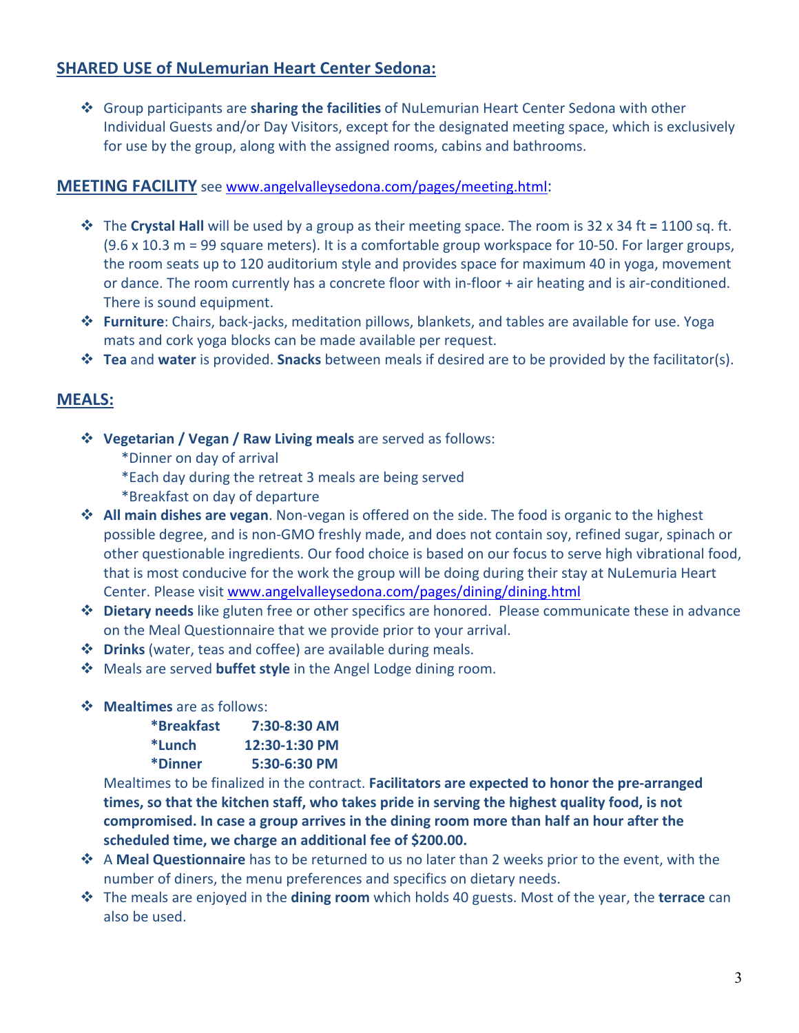# **SHARED USE of NuLemurian Heart Center Sedona:**

v Group participants are **sharing the facilities** of NuLemurian Heart Center Sedona with other Individual Guests and/or Day Visitors, except for the designated meeting space, which is exclusively for use by the group, along with the assigned rooms, cabins and bathrooms.

## **MEETING FACILITY** see www.angelvalleysedona.com/pages/meeting.html:

- v The **Crystal Hall** will be used by a group as their meeting space. The room is 32 x 34 ft **=** 1100 sq. ft. (9.6 x 10.3 m = 99 square meters). It is a comfortable group workspace for 10-50. For larger groups, the room seats up to 120 auditorium style and provides space for maximum 40 in yoga, movement or dance. The room currently has a concrete floor with in-floor + air heating and is air-conditioned. There is sound equipment.
- v **Furniture**: Chairs, back-jacks, meditation pillows, blankets, and tables are available for use. Yoga mats and cork yoga blocks can be made available per request.
- v **Tea** and **water** is provided. **Snacks** between meals if desired are to be provided by the facilitator(s).

# **MEALS:**

- v **Vegetarian / Vegan / Raw Living meals** are served as follows:
	- \*Dinner on day of arrival
	- \*Each day during the retreat 3 meals are being served
	- \*Breakfast on day of departure
- $\cdot$  All main dishes are vegan. Non-vegan is offered on the side. The food is organic to the highest possible degree, and is non-GMO freshly made, and does not contain soy, refined sugar, spinach or other questionable ingredients. Our food choice is based on our focus to serve high vibrational food, that is most conducive for the work the group will be doing during their stay at NuLemuria Heart Center. Please visit www.angelvalleysedona.com/pages/dining/dining.html
- v **Dietary needs** like gluten free or other specifics are honored. Please communicate these in advance on the Meal Questionnaire that we provide prior to your arrival.
- v **Drinks** (water, teas and coffee) are available during meals.
- v Meals are served **buffet style** in the Angel Lodge dining room.
- v **Mealtimes** are as follows:

| *Breakfast | 7:30-8:30 AM  |
|------------|---------------|
| *Lunch     | 12:30-1:30 PM |
| *Dinner    | 5:30-6:30 PM  |

Mealtimes to be finalized in the contract. **Facilitators are expected to honor the pre-arranged times, so that the kitchen staff, who takes pride in serving the highest quality food, is not compromised. In case a group arrives in the dining room more than half an hour after the scheduled time, we charge an additional fee of \$200.00.**

- v A **Meal Questionnaire** has to be returned to us no later than 2 weeks prior to the event, with the number of diners, the menu preferences and specifics on dietary needs.
- v The meals are enjoyed in the **dining room** which holds 40 guests. Most of the year, the **terrace** can also be used.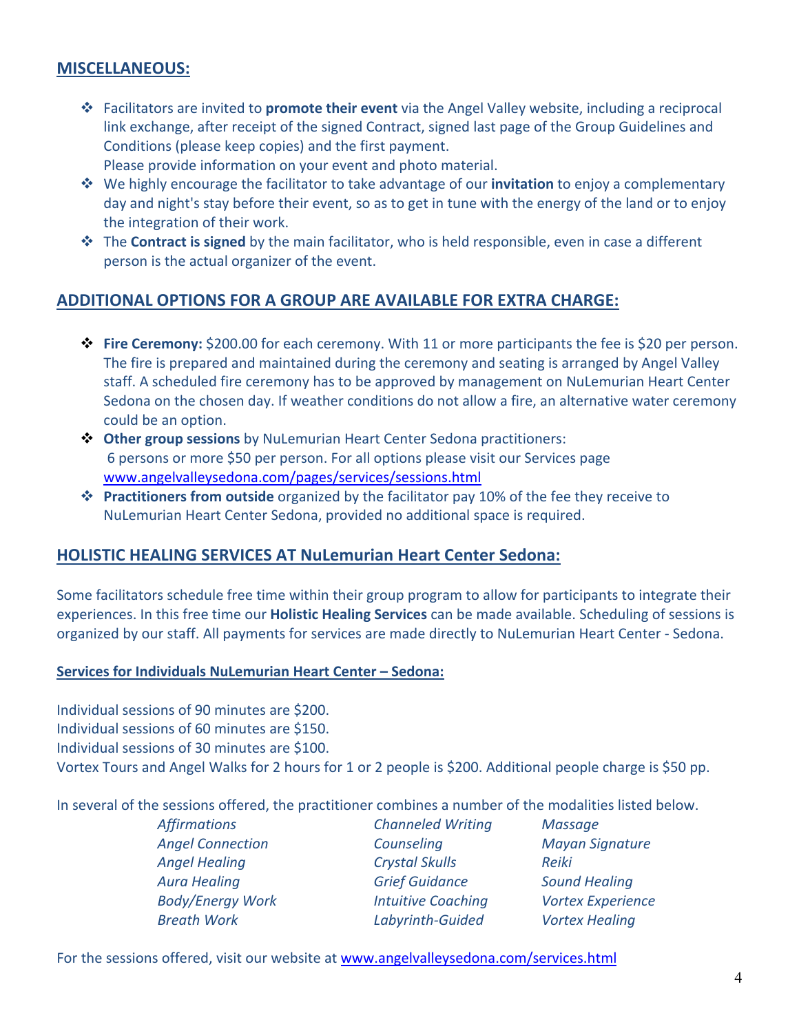## **MISCELLANEOUS:**

- v Facilitators are invited to **promote their event** via the Angel Valley website, including a reciprocal link exchange, after receipt of the signed Contract, signed last page of the Group Guidelines and Conditions (please keep copies) and the first payment. Please provide information on your event and photo material.
- v We highly encourage the facilitator to take advantage of our **invitation** to enjoy a complementary day and night's stay before their event, so as to get in tune with the energy of the land or to enjoy the integration of their work.
- $\dots$  The **Contract is signed** by the main facilitator, who is held responsible, even in case a different person is the actual organizer of the event.

## **ADDITIONAL OPTIONS FOR A GROUP ARE AVAILABLE FOR EXTRA CHARGE:**

- v **Fire Ceremony:** \$200.00 for each ceremony. With 11 or more participants the fee is \$20 per person. The fire is prepared and maintained during the ceremony and seating is arranged by Angel Valley staff. A scheduled fire ceremony has to be approved by management on NuLemurian Heart Center Sedona on the chosen day. If weather conditions do not allow a fire, an alternative water ceremony could be an option.
- v **Other group sessions** by NuLemurian Heart Center Sedona practitioners: 6 persons or more \$50 per person. For all options please visit our Services page www.angelvalleysedona.com/pages/services/sessions.html
- v **Practitioners from outside** organized by the facilitator pay 10% of the fee they receive to NuLemurian Heart Center Sedona, provided no additional space is required.

#### **HOLISTIC HEALING SERVICES AT NuLemurian Heart Center Sedona:**

Some facilitators schedule free time within their group program to allow for participants to integrate their experiences. In this free time our **Holistic Healing Services** can be made available. Scheduling of sessions is organized by our staff. All payments for services are made directly to NuLemurian Heart Center - Sedona.

#### **Services for Individuals NuLemurian Heart Center – Sedona:**

Individual sessions of 90 minutes are \$200. Individual sessions of 60 minutes are \$150. Individual sessions of 30 minutes are \$100. Vortex Tours and Angel Walks for 2 hours for 1 or 2 people is \$200. Additional people charge is \$50 pp.

In several of the sessions offered, the practitioner combines a number of the modalities listed below.

*Affirmations Angel Connection Angel Healing Aura Healing Body/Energy Work Breath Work*

*Channeled Writing Counseling Crystal Skulls Grief Guidance Intuitive Coaching Labyrinth-Guided*

*Massage Mayan Signature Reiki Sound Healing Vortex Experience Vortex Healing*

For the sessions offered, visit our website at www.angelvalleysedona.com/services.html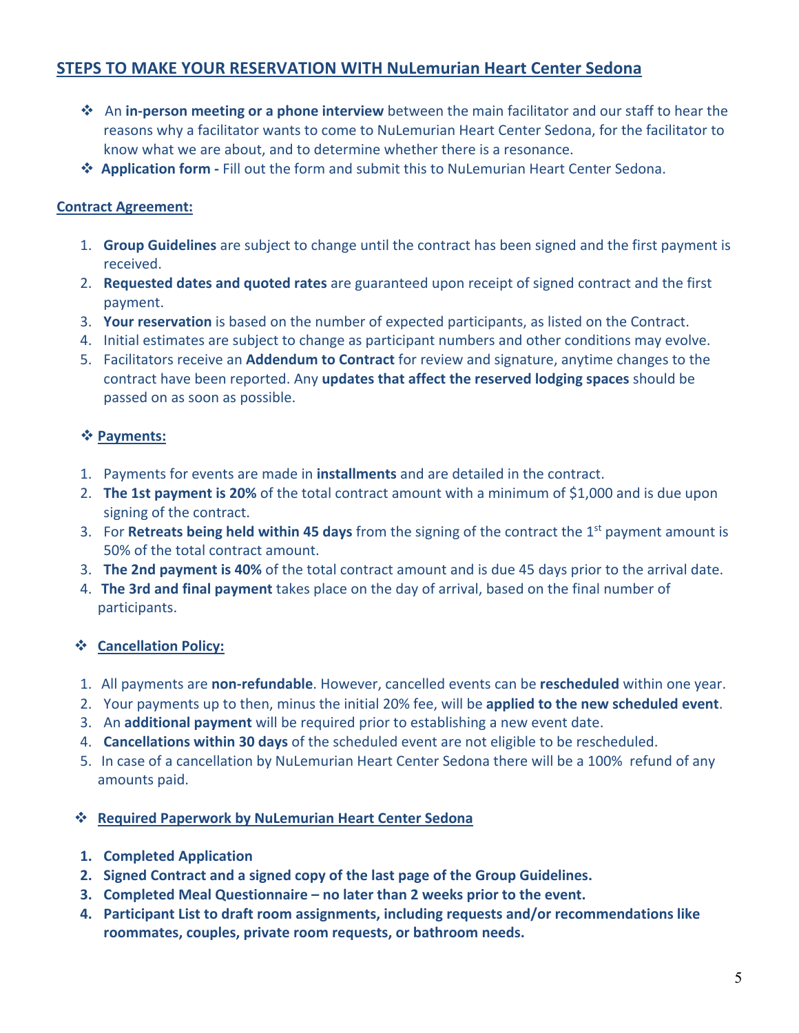# **STEPS TO MAKE YOUR RESERVATION WITH NuLemurian Heart Center Sedona**

- v An **in-person meeting or a phone interview** between the main facilitator and our staff to hear the reasons why a facilitator wants to come to NuLemurian Heart Center Sedona, for the facilitator to know what we are about, and to determine whether there is a resonance.
- $\dots$  **Application form** Fill out the form and submit this to NuLemurian Heart Center Sedona.

## **Contract Agreement:**

- 1. **Group Guidelines** are subject to change until the contract has been signed and the first payment is received.
- 2. **Requested dates and quoted rates** are guaranteed upon receipt of signed contract and the first payment.
- 3. **Your reservation** is based on the number of expected participants, as listed on the Contract.
- 4. Initial estimates are subject to change as participant numbers and other conditions may evolve.
- 5. Facilitators receive an **Addendum to Contract** for review and signature, anytime changes to the contract have been reported. Any **updates that affect the reserved lodging spaces** should be passed on as soon as possible.

#### v **Payments:**

- 1. Payments for events are made in **installments** and are detailed in the contract.
- 2. **The 1st payment is 20%** of the total contract amount with a minimum of \$1,000 and is due upon signing of the contract.
- 3. For **Retreats being held within 45 days** from the signing of the contract the 1st payment amount is 50% of the total contract amount.
- 3. **The 2nd payment is 40%** of the total contract amount and is due 45 days prior to the arrival date.
- 4. **The 3rd and final payment** takes place on the day of arrival, based on the final number of participants.

#### v **Cancellation Policy:**

- 1. All payments are **non-refundable**. However, cancelled events can be **rescheduled** within one year.
- 2. Your payments up to then, minus the initial 20% fee, will be **applied to the new scheduled event**.
- 3. An **additional payment** will be required prior to establishing a new event date.
- 4. **Cancellations within 30 days** of the scheduled event are not eligible to be rescheduled.
- 5. In case of a cancellation by NuLemurian Heart Center Sedona there will be a 100% refund of any amounts paid.

#### v **Required Paperwork by NuLemurian Heart Center Sedona**

- **1. Completed Application**
- **2. Signed Contract and a signed copy of the last page of the Group Guidelines.**
- **3. Completed Meal Questionnaire – no later than 2 weeks prior to the event.**
- **4. Participant List to draft room assignments, including requests and/or recommendations like roommates, couples, private room requests, or bathroom needs.**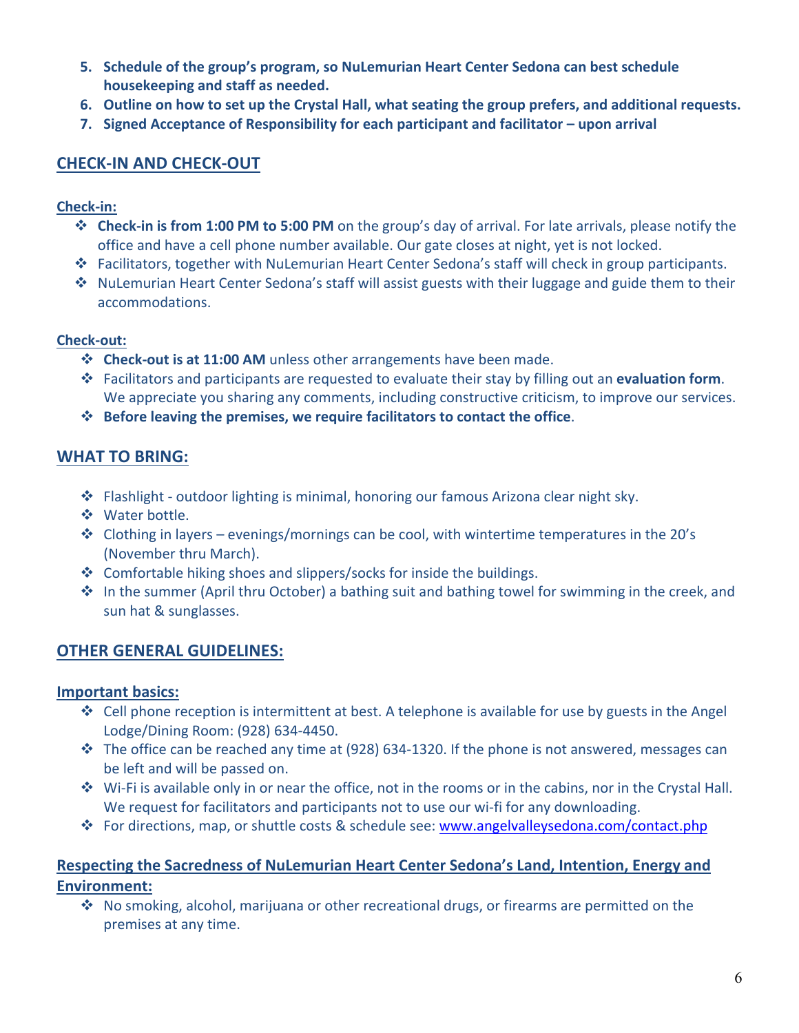- **5. Schedule of the group's program, so NuLemurian Heart Center Sedona can best schedule housekeeping and staff as needed.**
- **6. Outline on how to set up the Crystal Hall, what seating the group prefers, and additional requests.**
- **7. Signed Acceptance of Responsibility for each participant and facilitator – upon arrival**

# **CHECK-IN AND CHECK-OUT**

#### **Check-in:**

- $\dots$  **Check-in is from 1:00 PM to 5:00 PM** on the group's day of arrival. For late arrivals, please notify the office and have a cell phone number available. Our gate closes at night, yet is not locked.
- v Facilitators, together with NuLemurian Heart Center Sedona's staff will check in group participants.
- $\clubsuit$  NuLemurian Heart Center Sedona's staff will assist guests with their luggage and guide them to their accommodations.

#### **Check-out:**

- **External Check-out is at 11:00 AM** unless other arrangements have been made.
- v Facilitators and participants are requested to evaluate their stay by filling out an **evaluation form**. We appreciate you sharing any comments, including constructive criticism, to improve our services.
- v **Before leaving the premises, we require facilitators to contact the office**.

# **WHAT TO BRING:**

- $\cdot \cdot$  Flashlight outdoor lighting is minimal, honoring our famous Arizona clear night sky.
- ❖ Water bottle.
- Clothing in layers evenings/mornings can be cool, with wintertime temperatures in the 20's (November thru March).
- $\cdot$  Comfortable hiking shoes and slippers/socks for inside the buildings.
- \* In the summer (April thru October) a bathing suit and bathing towel for swimming in the creek, and sun hat & sunglasses.

# **OTHER GENERAL GUIDELINES:**

#### **Important basics:**

- Cell phone reception is intermittent at best. A telephone is available for use by guests in the Angel Lodge/Dining Room: (928) 634-4450.
- $\cdot \cdot$  The office can be reached any time at (928) 634-1320. If the phone is not answered, messages can be left and will be passed on.
- $\cdot \cdot$  Wi-Fi is available only in or near the office, not in the rooms or in the cabins, nor in the Crystal Hall. We request for facilitators and participants not to use our wi-fi for any downloading.
- v For directions, map, or shuttle costs & schedule see: www.angelvalleysedona.com/contact.php

## **Respecting the Sacredness of NuLemurian Heart Center Sedona's Land, Intention, Energy and Environment:**

 $\cdot$  No smoking, alcohol, marijuana or other recreational drugs, or firearms are permitted on the premises at any time.